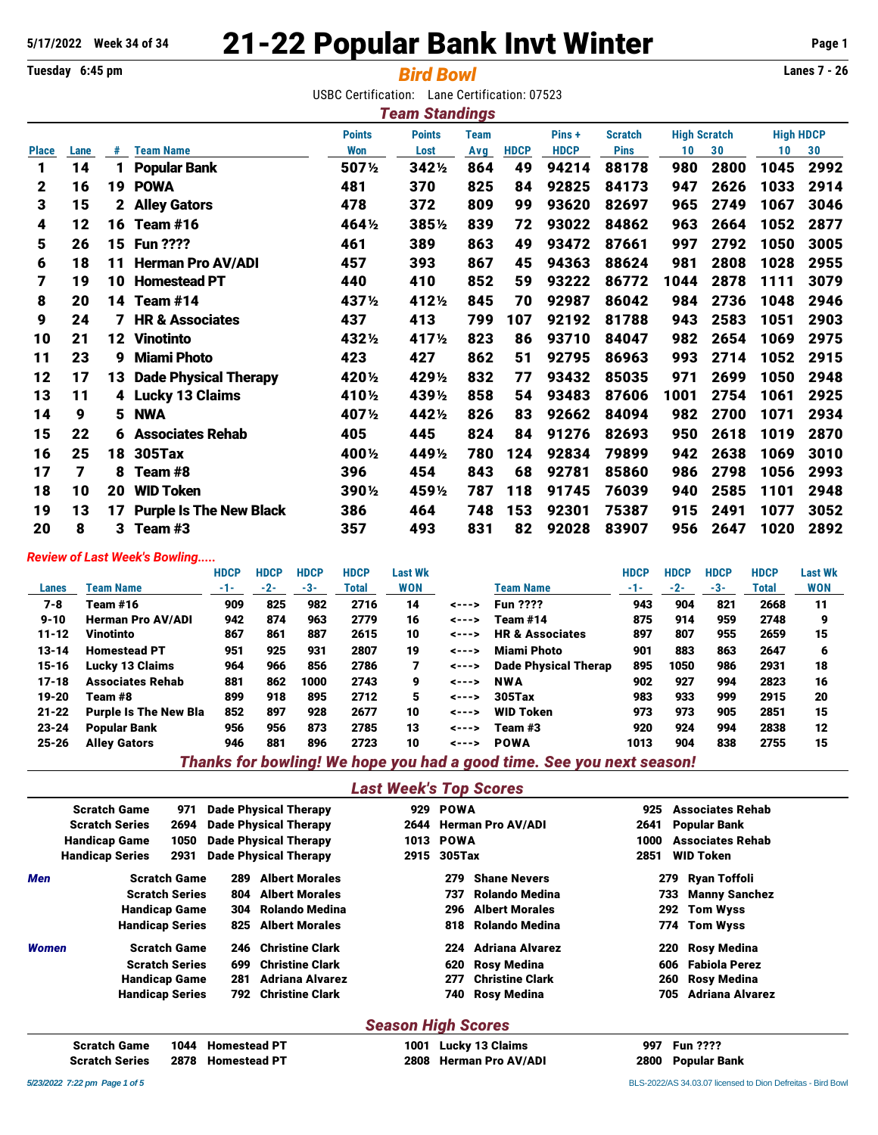# 5/17/2022 Week 34 of 34 21-22 Popular Bank Invt Winter **Page 1** Page 1

**Tuesday 6:45 pm** *Bird Bowl* **Lanes 7 - 26**

USBC Certification: Lane Certification: 07523

|              |      |    |                                |               | <b>Team Standings</b> |             |             |             |                |                     |      |                  |      |
|--------------|------|----|--------------------------------|---------------|-----------------------|-------------|-------------|-------------|----------------|---------------------|------|------------------|------|
|              |      |    |                                | <b>Points</b> | <b>Points</b>         | <b>Team</b> |             | Pins+       | <b>Scratch</b> | <b>High Scratch</b> |      | <b>High HDCP</b> |      |
| <b>Place</b> | Lane | #  | <b>Team Name</b>               | <b>Won</b>    | Lost                  | Avg         | <b>HDCP</b> | <b>HDCP</b> | <b>Pins</b>    | 10                  | 30   | 10               | 30   |
| 1            | 14   | 1  | <b>Popular Bank</b>            | 507½          | 3421/2                | 864         | 49          | 94214       | 88178          | 980                 | 2800 | 1045             | 2992 |
| 2            | 16   | 19 | <b>POWA</b>                    | 481           | 370                   | 825         | 84          | 92825       | 84173          | 947                 | 2626 | 1033             | 2914 |
| 3            | 15   |    | 2 Alley Gators                 | 478           | 372                   | 809         | 99          | 93620       | 82697          | 965                 | 2749 | 1067             | 3046 |
| 4            | 12   | 16 | Team #16                       | 464½          | 3851/2                | 839         | 72          | 93022       | 84862          | 963                 | 2664 | 1052             | 2877 |
| 5            | 26   | 15 | <b>Fun ????</b>                | 461           | 389                   | 863         | 49          | 93472       | 87661          | 997                 | 2792 | 1050             | 3005 |
| 6            | 18   | 11 | <b>Herman Pro AV/ADI</b>       | 457           | 393                   | 867         | 45          | 94363       | 88624          | 981                 | 2808 | 1028             | 2955 |
| 7            | 19   | 10 | <b>Homestead PT</b>            | 440           | 410                   | 852         | 59          | 93222       | 86772          | 1044                | 2878 | 1111             | 3079 |
| 8            | 20   | 14 | Team #14                       | 437½          | 412½                  | 845         | 70          | 92987       | 86042          | 984                 | 2736 | 1048             | 2946 |
| 9            | 24   | 7  | <b>HR &amp; Associates</b>     | 437           | 413                   | 799         | 107         | 92192       | 81788          | 943                 | 2583 | 1051             | 2903 |
| 10           | 21   | 12 | <b>Vinotinto</b>               | 4321/2        | 417½                  | 823         | 86          | 93710       | 84047          | 982                 | 2654 | 1069             | 2975 |
| 11           | 23   | 9  | <b>Miami Photo</b>             | 423           | 427                   | 862         | 51          | 92795       | 86963          | 993                 | 2714 | 1052             | 2915 |
| 12           | 17   | 13 | <b>Dade Physical Therapy</b>   | 420½          | 4291/2                | 832         | 77          | 93432       | 85035          | 971                 | 2699 | 1050             | 2948 |
| 13           | 11   |    | 4 Lucky 13 Claims              | 4101/2        | 4391/2                | 858         | 54          | 93483       | 87606          | 1001                | 2754 | 1061             | 2925 |
| 14           | 9    | 5  | <b>NWA</b>                     | 407½          | 4421/2                | 826         | 83          | 92662       | 84094          | 982                 | 2700 | 1071             | 2934 |
| 15           | 22   | 6  | <b>Associates Rehab</b>        | 405           | 445                   | 824         | 84          | 91276       | 82693          | 950                 | 2618 | 1019             | 2870 |
| 16           | 25   | 18 | <b>305Tax</b>                  | 400½          | 449½                  | 780         | 124         | 92834       | 79899          | 942                 | 2638 | 1069             | 3010 |
| 17           | 7    | 8  | Team #8                        | 396           | 454                   | 843         | 68          | 92781       | 85860          | 986                 | 2798 | 1056             | 2993 |
| 18           | 10   | 20 | <b>WID Token</b>               | 390½          | 459½                  | 787         | 118         | 91745       | 76039          | 940                 | 2585 | 1101             | 2948 |
| 19           | 13   | 17 | <b>Purple Is The New Black</b> | 386           | 464                   | 748         | 153         | 92301       | 75387          | 915                 | 2491 | 1077             | 3052 |
| 20           | 8    | 3  | Team #3                        | 357           | 493                   | 831         | 82          | 92028       | 83907          | 956                 | 2647 | 1020             | 2892 |

### *Review of Last Week's Bowling.....*

|           |                              | <b>HDCP</b> | <b>HDCP</b> | <b>HDCP</b> | <b>HDCP</b> | Last Wk    |       |                             | <b>HDCP</b> | <b>HDCP</b> | <b>HDCP</b> | <b>HDCP</b> | <b>Last Wk</b> |
|-----------|------------------------------|-------------|-------------|-------------|-------------|------------|-------|-----------------------------|-------------|-------------|-------------|-------------|----------------|
| Lanes     | Team Name                    | -1-         | $-2-$       | -3-         | Total       | <b>WON</b> |       | <b>Team Name</b>            | -1-         | $-2-$       | -3-         | Total       | <b>WON</b>     |
| 7-8       | Team #16                     | 909         | 825         | 982         | 2716        | 14         | <---> | <b>Fun ????</b>             | 943         | 904         | 821         | 2668        | 11             |
| $9 - 10$  | <b>Herman Pro AV/ADI</b>     | 942         | 874         | 963         | 2779        | 16         | <---> | Team #14                    | 875         | 914         | 959         | 2748        | 9              |
| $11 - 12$ | <b>Vinotinto</b>             | 867         | 861         | 887         | 2615        | 10         | <---> | <b>HR &amp; Associates</b>  | 897         | 807         | 955         | 2659        | 15             |
| $13 - 14$ | <b>Homestead PT</b>          | 951         | 925         | 931         | 2807        | 19         | <---> | Miami Photo                 | 901         | 883         | 863         | 2647        | 6              |
| $15 - 16$ | <b>Lucky 13 Claims</b>       | 964         | 966         | 856         | 2786        |            | <---> | <b>Dade Physical Therap</b> | 895         | 1050        | 986         | 2931        | 18             |
| $17 - 18$ | <b>Associates Rehab</b>      | 881         | 862         | 1000        | 2743        | 9          | <---> | <b>NWA</b>                  | 902         | 927         | 994         | 2823        | 16             |
| $19 - 20$ | Team #8                      | 899         | 918         | 895         | 2712        | 5          | <---> | $305$ Tax                   | 983         | 933         | 999         | 2915        | 20             |
| $21 - 22$ | <b>Purple Is The New Bla</b> | 852         | 897         | 928         | 2677        | 10         | <---> | <b>WID Token</b>            | 973         | 973         | 905         | 2851        | 15             |
| $23 - 24$ | <b>Popular Bank</b>          | 956         | 956         | 873         | 2785        | 13         | <---> | Team #3                     | 920         | 924         | 994         | 2838        | 12             |
| $25 - 26$ | <b>Alley Gators</b>          | 946         | 881         | 896         | 2723        | 10         | <---> | <b>POWA</b>                 | 1013        | 904         | 838         | 2755        | 15             |
|           |                              |             |             |             |             |            |       |                             |             |             |             |             |                |

*Thanks for bowling! We hope you had a good time. See you next season!*

# *Last Week's Top Scores*

|              | <b>Scratch Game</b>    | 971  |      | <b>Dade Physical Therapy</b> | <b>929 POWA</b> |                        | 925  | <b>Associates Rehab</b>       |
|--------------|------------------------|------|------|------------------------------|-----------------|------------------------|------|-------------------------------|
|              | <b>Scratch Series</b>  | 2694 |      | <b>Dade Physical Therapy</b> |                 | 2644 Herman Pro AV/ADI | 2641 | <b>Popular Bank</b>           |
|              | <b>Handicap Game</b>   | 1050 |      | <b>Dade Physical Therapy</b> | 1013 POWA       |                        | 1000 | <b>Associates Rehab</b>       |
|              | <b>Handicap Series</b> | 2931 |      | <b>Dade Physical Therapy</b> | 2915 305Tax     |                        | 2851 | <b>WID Token</b>              |
| <b>Men</b>   | <b>Scratch Game</b>    |      | 289  | <b>Albert Morales</b>        | 279             | <b>Shane Nevers</b>    |      | Ryan Toffoli<br>279           |
|              | <b>Scratch Series</b>  |      | 804  | <b>Albert Morales</b>        | 737             | Rolando Medina         |      | <b>Manny Sanchez</b><br>733   |
|              | <b>Handicap Game</b>   |      | 304  | Rolando Medina               | 296             | <b>Albert Morales</b>  |      | 292<br>Tom Wyss               |
|              | <b>Handicap Series</b> |      | 825  | <b>Albert Morales</b>        | 818.            | Rolando Medina         |      | 774 Tom Wyss                  |
| <b>Women</b> | <b>Scratch Game</b>    |      | 246  | <b>Christine Clark</b>       | 224             | <b>Adriana Alvarez</b> |      | Rosy Medina<br>220            |
|              | <b>Scratch Series</b>  |      | 699  | <b>Christine Clark</b>       | 620             | <b>Rosy Medina</b>     |      | <b>Fabiola Perez</b><br>606   |
|              | <b>Handicap Game</b>   |      | 281  | <b>Adriana Alvarez</b>       | 277             | <b>Christine Clark</b> |      | Rosy Medina<br>260            |
|              | <b>Handicap Series</b> |      | 792. | <b>Christine Clark</b>       | 740             | Rosy Medina            |      | <b>Adriana Alvarez</b><br>705 |
|              |                        |      |      |                              |                 |                        |      |                               |

## *Season High Scores*

Scratch Game 1044 Homestead PT 1001 Lucky 13 Claims 997 Fun ???? Scratch Series 2878 Homestead PT 2808 Herman Pro AV/ADI 2800 Popular Bank

*5/23/2022 7:22 pm Page 1 of 5* BLS-2022/AS 34.03.07 licensed to Dion Defreitas - Bird Bowl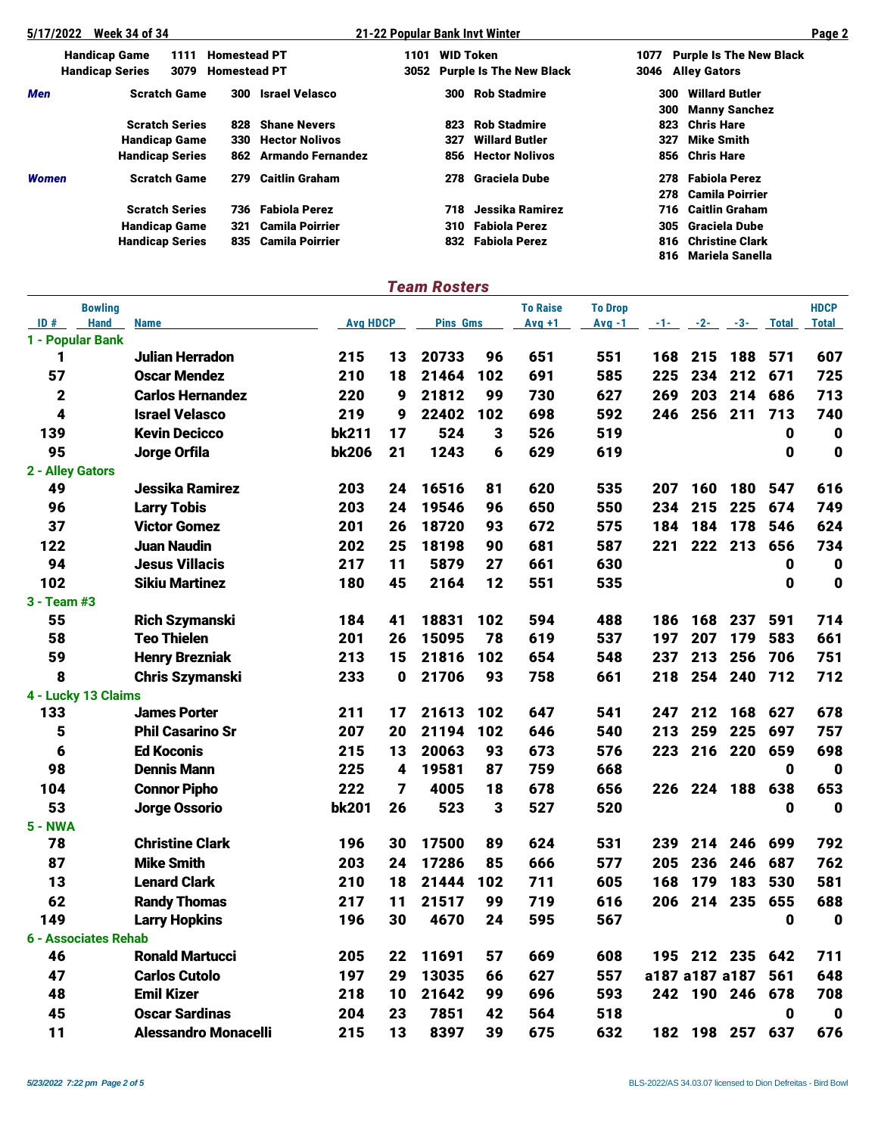| 5/17/2022    | <b>Week 34 of 34</b>           |                     |                       |      |                  | 21-22 Popular Bank Invt Winter |      |                                | Page 2 |
|--------------|--------------------------------|---------------------|-----------------------|------|------------------|--------------------------------|------|--------------------------------|--------|
|              | <b>Handicap Game</b><br>1111   | <b>Homestead PT</b> |                       | 1101 | <b>WID Token</b> |                                | 1077 | <b>Purple Is The New Black</b> |        |
|              | <b>Handicap Series</b><br>3079 | <b>Homestead PT</b> |                       |      |                  | 3052 Purple Is The New Black   | 3046 | <b>Alley Gators</b>            |        |
| <b>Men</b>   | <b>Scratch Game</b>            | 300                 | <b>Israel Velasco</b> |      | 300              | <b>Rob Stadmire</b>            | 300  | <b>Willard Butler</b>          |        |
|              |                                |                     |                       |      |                  |                                | 300  | <b>Manny Sanchez</b>           |        |
|              | <b>Scratch Series</b>          | 828                 | <b>Shane Nevers</b>   |      | 823              | <b>Rob Stadmire</b>            | 823  | <b>Chris Hare</b>              |        |
|              | <b>Handicap Game</b>           | 330                 | Hector Nolivos        |      | 327              | <b>Willard Butler</b>          | 327  | Mike Smith                     |        |
|              | <b>Handicap Series</b>         |                     | 862 Armando Fernandez |      | 856              | <b>Hector Nolivos</b>          | 856  | <b>Chris Hare</b>              |        |
| <b>Women</b> | <b>Scratch Game</b>            | 279                 | <b>Caitlin Graham</b> |      | 278              | <b>Graciela Dube</b>           | 278  | <b>Fabiola Perez</b>           |        |
|              |                                |                     |                       |      |                  |                                | 278  | <b>Camila Poirrier</b>         |        |
|              | <b>Scratch Series</b>          | 736                 | <b>Fabiola Perez</b>  |      | 718              | Jessika Ramirez                | 716  | <b>Caitlin Graham</b>          |        |
|              | <b>Handicap Game</b>           | 321                 | Camila Poirrier       |      | 310              | <b>Fabiola Perez</b>           | 305  | <b>Graciela Dube</b>           |        |
|              | <b>Handicap Series</b>         | 835                 | Camila Poirrier       |      | 832              | <b>Fabiola Perez</b>           | 816  | <b>Christine Clark</b>         |        |
|              |                                |                     |                       |      |                  |                                | 816  | <b>Mariela Sanella</b>         |        |

# *Team Rosters*

|                  | <b>Bowling</b>       |                             |                 |    |                 |     | <b>To Raise</b> | <b>To Drop</b> |                |     |                     |              | <b>HDCP</b>      |
|------------------|----------------------|-----------------------------|-----------------|----|-----------------|-----|-----------------|----------------|----------------|-----|---------------------|--------------|------------------|
| ID#              | <b>Hand</b>          | <b>Name</b>                 | <b>Avg HDCP</b> |    | <b>Pins Gms</b> |     | $Avg +1$        | $Avg -1$       |                |     | $-1$ $-2$ $-3$ $-3$ | Total        | <b>Total</b>     |
|                  | 1 - Popular Bank     |                             |                 |    |                 |     |                 |                |                |     |                     |              |                  |
| 1                |                      | Julian Herradon             | 215             | 13 | 20733           | 96  | 651             | 551            | 168            | 215 | 188                 | 571          | 607              |
| 57               |                      | <b>Oscar Mendez</b>         | 210             | 18 | 21464           | 102 | 691             | 585            | 225            | 234 | 212                 | 671          | 725              |
| $\mathbf 2$      |                      | <b>Carlos Hernandez</b>     | 220             | 9  | 21812           | 99  | 730             | 627            | 269            | 203 | 214                 | 686          | 713              |
| 4                |                      | <b>Israel Velasco</b>       | 219             | 9  | 22402           | 102 | 698             | 592            | 246            | 256 | 211                 | 713          | 740              |
| 139              |                      | <b>Kevin Decicco</b>        | bk211           | 17 | 524             | 3   | 526             | 519            |                |     |                     | 0            | 0                |
| 95               |                      | Jorge Orfila                | <b>bk206</b>    | 21 | 1243            | 6   | 629             | 619            |                |     |                     | $\mathbf 0$  | $\mathbf 0$      |
| 2 - Alley Gators |                      |                             |                 |    |                 |     |                 |                |                |     |                     |              |                  |
| 49               |                      | Jessika Ramirez             | 203             | 24 | 16516           | 81  | 620             | 535            | 207            | 160 | 180                 | 547          | 616              |
| 96               |                      | <b>Larry Tobis</b>          | 203             | 24 | 19546           | 96  | 650             | 550            | 234            | 215 | 225                 | 674          | 749              |
| 37               |                      | <b>Victor Gomez</b>         | 201             | 26 | 18720           | 93  | 672             | 575            | 184            | 184 | 178                 | 546          | 624              |
| 122              |                      | <b>Juan Naudin</b>          | 202             | 25 | 18198           | 90  | 681             | 587            | 221            |     | 222 213             | 656          | 734              |
| 94               |                      | <b>Jesus Villacis</b>       | 217             | 11 | 5879            | 27  | 661             | 630            |                |     |                     | 0            | $\mathbf 0$      |
| 102              |                      | <b>Sikiu Martinez</b>       | 180             | 45 | 2164            | 12  | 551             | 535            |                |     |                     | 0            | $\boldsymbol{0}$ |
| 3 - Team #3      |                      |                             |                 |    |                 |     |                 |                |                |     |                     |              |                  |
| 55               |                      | <b>Rich Szymanski</b>       | 184             | 41 | 18831           | 102 | 594             | 488            | 186            | 168 | 237                 | 591          | 714              |
| 58               |                      | <b>Teo Thielen</b>          | 201             | 26 | 15095           | 78  | 619             | 537            | 197            | 207 | 179                 | 583          | 661              |
| 59               |                      | <b>Henry Brezniak</b>       | 213             | 15 | 21816           | 102 | 654             | 548            | 237            | 213 | 256                 | 706          | 751              |
| 8                |                      | <b>Chris Szymanski</b>      | 233             | 0  | 21706           | 93  | 758             | 661            | 218            | 254 | 240                 | 712          | 712              |
|                  | 4 - Lucky 13 Claims  |                             |                 |    |                 |     |                 |                |                |     |                     |              |                  |
| 133              |                      | <b>James Porter</b>         | 211             | 17 | 21613           | 102 | 647             | 541            | 247            | 212 | 168                 | 627          | 678              |
| 5                |                      | <b>Phil Casarino Sr</b>     | 207             | 20 | 21194           | 102 | 646             | 540            | 213            | 259 | 225                 | 697          | 757              |
| 6                |                      | <b>Ed Koconis</b>           | 215             | 13 | 20063           | 93  | 673             | 576            | 223            |     | 216 220             | 659          | 698              |
| 98               |                      | <b>Dennis Mann</b>          | 225             | 4  | 19581           | 87  | 759             | 668            |                |     |                     | $\mathbf{0}$ | $\mathbf 0$      |
| 104              |                      | <b>Connor Pipho</b>         | 222             | 7  | 4005            | 18  | 678             | 656            | 226            | 224 | 188                 | 638          | 653              |
| 53               |                      | <b>Jorge Ossorio</b>        | <b>bk201</b>    | 26 | 523             | 3   | 527             | 520            |                |     |                     | $\mathbf 0$  | $\mathbf 0$      |
| <b>5 - NWA</b>   |                      |                             |                 |    |                 |     |                 |                |                |     |                     |              |                  |
| 78               |                      | <b>Christine Clark</b>      | 196             | 30 | 17500           | 89  | 624             | 531            | 239            | 214 | 246                 | 699          | 792              |
| 87               |                      | <b>Mike Smith</b>           | 203             | 24 | 17286           | 85  | 666             | 577            | 205            | 236 | 246                 | 687          | 762              |
| 13               |                      | <b>Lenard Clark</b>         | 210             | 18 | 21444           | 102 | 711             | 605            | 168            | 179 | 183                 | 530          | 581              |
| 62               |                      | <b>Randy Thomas</b>         | 217             | 11 | 21517           | 99  | 719             | 616            | 206            | 214 | 235                 | 655          | 688              |
| 149              |                      | <b>Larry Hopkins</b>        | 196             | 30 | 4670            | 24  | 595             | 567            |                |     |                     | $\mathbf 0$  | $\mathbf 0$      |
|                  | 6 - Associates Rehab |                             |                 |    |                 |     |                 |                |                |     |                     |              |                  |
| 46               |                      | <b>Ronald Martucci</b>      | 205             | 22 | 11691           | 57  | 669             | 608            |                |     | 195 212 235 642     |              | 711              |
| 47               |                      | <b>Carlos Cutolo</b>        | 197             | 29 | 13035           | 66  | 627             | 557            | a187 a187 a187 |     |                     | 561          | 648              |
| 48               |                      | <b>Emil Kizer</b>           | 218             | 10 | 21642           | 99  | 696             | 593            |                |     | 242 190 246 678     |              | 708              |
| 45               |                      | <b>Oscar Sardinas</b>       | 204             | 23 | 7851            | 42  | 564             | 518            |                |     |                     | $\mathbf 0$  | $\mathbf 0$      |
| 11               |                      | <b>Alessandro Monacelli</b> | 215             | 13 | 8397            | 39  | 675             | 632            |                |     | 182 198 257 637     |              | 676              |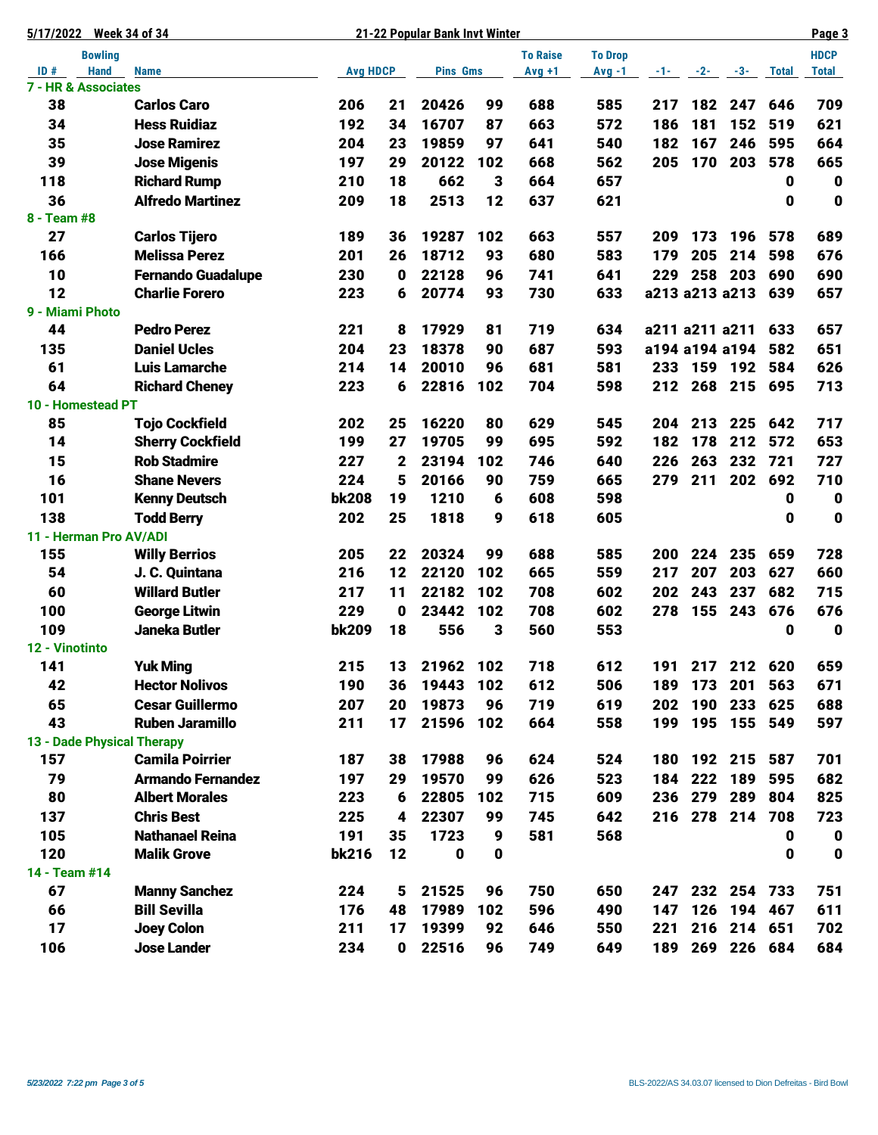| 5/17/2022       | <b>Week 34 of 34</b>       |                 |              | 21-22 Popular Bank Invt Winter |     |                 | Page 3         |     |         |                 |             |              |
|-----------------|----------------------------|-----------------|--------------|--------------------------------|-----|-----------------|----------------|-----|---------|-----------------|-------------|--------------|
|                 | <b>Bowling</b>             |                 |              |                                |     | <b>To Raise</b> | <b>To Drop</b> |     |         |                 |             | <b>HDCP</b>  |
| ID#             | <b>Hand</b><br><b>Name</b> | <b>Avg HDCP</b> |              | <b>Pins Gms</b>                |     | $Avg +1$        | $Avg -1$       |     |         | $-1$ $-2$ $-3$  | Total       | <b>Total</b> |
|                 | 7 - HR & Associates        |                 |              |                                |     |                 |                |     |         |                 |             |              |
| 38              | <b>Carlos Caro</b>         | 206             | 21           | 20426                          | 99  | 688             | 585            | 217 |         | 182 247         | 646         | 709          |
| 34              | <b>Hess Ruidiaz</b>        | 192             | 34           | 16707                          | 87  | 663             | 572            | 186 | 181     | 152             | 519         | 621          |
| 35              | <b>Jose Ramirez</b>        | 204             | 23           | 19859                          | 97  | 641             | 540            | 182 | 167     | 246             | 595         | 664          |
| 39              | <b>Jose Migenis</b>        | 197             | 29           | 20122                          | 102 | 668             | 562            | 205 | 170     | 203             | 578         | 665          |
| 118             | <b>Richard Rump</b>        | 210             | 18           | 662                            | 3   | 664             | 657            |     |         |                 | 0           | $\mathbf 0$  |
| 36              | <b>Alfredo Martinez</b>    | 209             | 18           | 2513                           | 12  | 637             | 621            |     |         |                 | 0           | $\mathbf 0$  |
| 8 - Team #8     |                            |                 |              |                                |     |                 |                |     |         |                 |             |              |
| 27              | <b>Carlos Tijero</b>       | 189             | 36           | 19287                          | 102 | 663             | 557            | 209 | 173     | 196             | 578         | 689          |
| 166             | <b>Melissa Perez</b>       | 201             | 26           | 18712                          | 93  | 680             | 583            | 179 | 205     | 214             | 598         | 676          |
| 10              | <b>Fernando Guadalupe</b>  | 230             | 0            | 22128                          | 96  | 741             | 641            | 229 | 258     | 203             | 690         | 690          |
| 12              | <b>Charlie Forero</b>      | 223             | 6            | 20774                          | 93  | 730             | 633            |     |         | a213 a213 a213  | 639         | 657          |
| 9 - Miami Photo |                            |                 |              |                                |     |                 |                |     |         |                 |             |              |
| 44              | <b>Pedro Perez</b>         | 221             | 8            | 17929                          | 81  | 719             | 634            |     |         | a211 a211 a211  | 633         | 657          |
| 135             | <b>Daniel Ucles</b>        | 204             | 23           | 18378                          | 90  | 687             | 593            |     |         | a194 a194 a194  | 582         | 651          |
| 61              | <b>Luis Lamarche</b>       | 214             | 14           | 20010                          | 96  | 681             | 581            | 233 |         | 159 192         | 584         | 626          |
| 64              | <b>Richard Cheney</b>      | 223             | 6            | 22816                          | 102 | 704             | 598            | 212 | 268     | 215             | 695         | 713          |
|                 | 10 - Homestead PT          |                 |              |                                |     |                 |                |     |         |                 |             |              |
| 85              | <b>Tojo Cockfield</b>      | 202             | 25           | 16220                          | 80  | 629             | 545            | 204 | 213     | 225             | 642         | 717          |
| 14              | <b>Sherry Cockfield</b>    | 199             | 27           | 19705                          | 99  | 695             | 592            | 182 | 178     | 212             | 572         | 653          |
| 15              | <b>Rob Stadmire</b>        | 227             | $\mathbf{2}$ | 23194                          | 102 | 746             | 640            | 226 | 263     | 232             | 721         | 727          |
| 16              | <b>Shane Nevers</b>        | 224             | 5            | 20166                          | 90  | 759             | 665            | 279 | 211     | 202             | 692         | 710          |
| 101             | <b>Kenny Deutsch</b>       | <b>bk208</b>    | 19           | 1210                           | 6   | 608             | 598            |     |         |                 | 0           | $\mathbf 0$  |
| 138             | <b>Todd Berry</b>          | 202             | 25           | 1818                           | 9   | 618             | 605            |     |         |                 | $\mathbf 0$ | $\mathbf 0$  |
|                 | 11 - Herman Pro AV/ADI     |                 |              |                                |     |                 |                |     |         |                 |             |              |
| 155             | <b>Willy Berrios</b>       | 205             | 22           | 20324                          | 99  | 688             | 585            | 200 | 224     | 235             | 659         | 728          |
| 54              | J. C. Quintana             | 216             | 12           | 22120                          | 102 | 665             | 559            | 217 | 207     | 203             | 627         | 660          |
| 60              | <b>Willard Butler</b>      | 217             | 11           | 22182                          | 102 | 708             | 602            | 202 | 243     | 237             | 682         | 715          |
| 100             | <b>George Litwin</b>       | 229             | 0            | 23442                          | 102 | 708             | 602            | 278 |         | 155 243         | 676         | 676          |
| 109             | Janeka Butler              | <b>bk209</b>    | 18           | 556                            | 3   | 560             | 553            |     |         |                 | 0           | $\mathbf 0$  |
| 12 - Vinotinto  |                            |                 |              |                                |     |                 |                |     |         |                 |             |              |
| 141             | <b>Yuk Ming</b>            | 215             | 13           | 21962                          | 102 | 718             | 612            | 191 | 217     | 212             | 620         | 659          |
| 42              | <b>Hector Nolivos</b>      | 190             | 36           | 19443                          | 102 | 612             | 506            | 189 |         | 173 201         | 563         | 671          |
| 65              | <b>Cesar Guillermo</b>     | 207             | 20           | 19873                          | 96  | 719             | 619            | 202 | 190     | 233             | 625         | 688          |
| 43              | <b>Ruben Jaramillo</b>     | 211             | 17           | 21596 102                      |     | 664             | 558            | 199 |         | 195 155 549     |             | 597          |
|                 | 13 - Dade Physical Therapy |                 |              |                                |     |                 |                |     |         |                 |             |              |
| 157             | <b>Camila Poirrier</b>     | 187             | 38           | 17988                          | 96  | 624             | 524            | 180 |         | 192 215         | 587         | 701          |
| 79              | <b>Armando Fernandez</b>   | 197             | 29           | 19570                          | 99  | 626             | 523            | 184 |         | 222 189         | 595         | 682          |
| 80              | <b>Albert Morales</b>      | 223             | 6            | 22805                          | 102 | 715             | 609            |     | 236 279 | 289             | 804         | 825          |
| 137             | <b>Chris Best</b>          | 225             | 4            | 22307                          | 99  | 745             | 642            |     |         | 216 278 214     | 708         | 723          |
| 105             | <b>Nathanael Reina</b>     | 191             | 35           | 1723                           | 9   | 581             | 568            |     |         |                 | 0           | $\mathbf 0$  |
| 120             | <b>Malik Grove</b>         | <b>bk216</b>    | 12           | 0                              | 0   |                 |                |     |         |                 | 0           | $\bf{0}$     |
| 14 - Team #14   |                            |                 |              |                                |     |                 |                |     |         |                 |             |              |
| 67              | <b>Manny Sanchez</b>       | 224             | 5            | 21525                          | 96  | 750             | 650            |     |         | 247 232 254 733 |             | 751          |
| 66              | <b>Bill Sevilla</b>        | 176             | 48           | 17989                          | 102 | 596             | 490            | 147 | 126     | 194             | 467         | 611          |
| 17              | <b>Joey Colon</b>          | 211             | 17           | 19399                          | 92  | 646             | 550            | 221 | 216     | 214 651         |             | 702          |
| 106             | <b>Jose Lander</b>         | 234             | $\mathbf 0$  | 22516                          | 96  | 749             | 649            | 189 |         | 269 226 684     |             | 684          |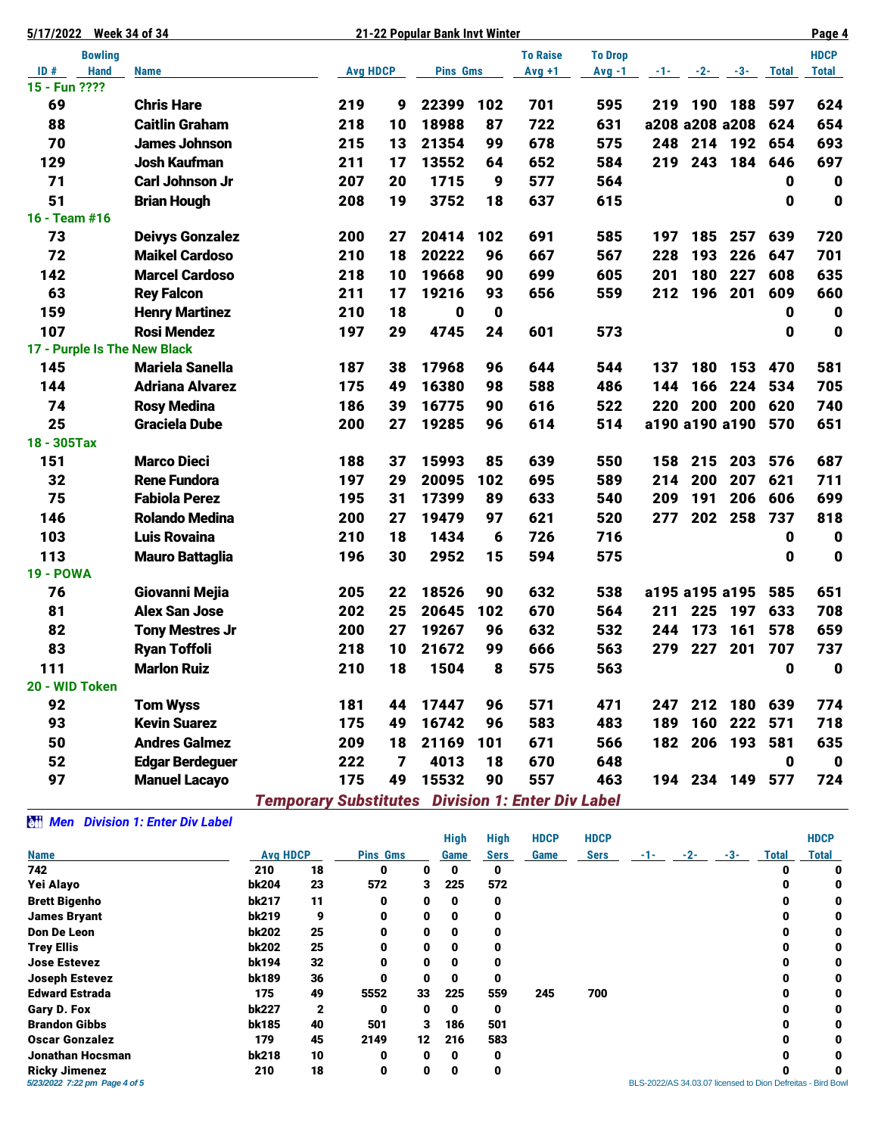| 5/17/2022        |                | <b>Week 34 of 34</b>         |                                                          | 21-22 Popular Bank Invt Winter |                |                 |     |                 |                |     |                |                 |              | Page 4       |
|------------------|----------------|------------------------------|----------------------------------------------------------|--------------------------------|----------------|-----------------|-----|-----------------|----------------|-----|----------------|-----------------|--------------|--------------|
|                  | <b>Bowling</b> |                              |                                                          |                                |                |                 |     | <b>To Raise</b> | <b>To Drop</b> |     |                |                 |              | <b>HDCP</b>  |
| ID#              | <b>Hand</b>    | <b>Name</b>                  |                                                          | <b>Avg HDCP</b>                |                | <b>Pins Gms</b> |     | $Avg +1$        | $Avg -1$       |     | $-1 - 2 - -3$  |                 | <b>Total</b> | <b>Total</b> |
| 15 - Fun ????    |                |                              |                                                          |                                |                |                 |     |                 |                |     |                |                 |              |              |
| 69               |                | <b>Chris Hare</b>            |                                                          | 219                            | 9              | 22399           | 102 | 701             | 595            | 219 |                | 190 188         | 597          | 624          |
| 88               |                | <b>Caitlin Graham</b>        |                                                          | 218                            | 10             | 18988           | 87  | 722             | 631            |     | a208 a208 a208 |                 | 624          | 654          |
| 70               |                | <b>James Johnson</b>         |                                                          | 215                            | 13             | 21354           | 99  | 678             | 575            | 248 | 214            | 192             | 654          | 693          |
| 129              |                | <b>Josh Kaufman</b>          |                                                          | 211                            | 17             | 13552           | 64  | 652             | 584            | 219 | 243            | 184             | 646          | 697          |
| 71               |                | <b>Carl Johnson Jr</b>       |                                                          | 207                            | 20             | 1715            | 9   | 577             | 564            |     |                |                 | 0            | $\mathbf 0$  |
| 51               |                | <b>Brian Hough</b>           |                                                          | 208                            | 19             | 3752            | 18  | 637             | 615            |     |                |                 | 0            | $\mathbf 0$  |
| 16 - Team #16    |                |                              |                                                          |                                |                |                 |     |                 |                |     |                |                 |              |              |
| 73               |                | <b>Deivys Gonzalez</b>       |                                                          | 200                            | 27             | 20414           | 102 | 691             | 585            | 197 | 185            | 257             | 639          | 720          |
| 72               |                | <b>Maikel Cardoso</b>        |                                                          | 210                            | 18             | 20222           | 96  | 667             | 567            | 228 | 193            | 226             | 647          | 701          |
| 142              |                | <b>Marcel Cardoso</b>        |                                                          | 218                            | 10             | 19668           | 90  | 699             | 605            | 201 | 180            | 227             | 608          | 635          |
| 63               |                | <b>Rey Falcon</b>            |                                                          | 211                            | 17             | 19216           | 93  | 656             | 559            | 212 | 196            | 201             | 609          | 660          |
| 159              |                | <b>Henry Martinez</b>        |                                                          | 210                            | 18             | 0               | 0   |                 |                |     |                |                 | 0            | $\mathbf 0$  |
| 107              |                | <b>Rosi Mendez</b>           |                                                          | 197                            | 29             | 4745            | 24  | 601             | 573            |     |                |                 | 0            | $\mathbf 0$  |
|                  |                | 17 - Purple Is The New Black |                                                          |                                |                |                 |     |                 |                |     |                |                 |              |              |
| 145              |                | <b>Mariela Sanella</b>       |                                                          | 187                            | 38             | 17968           | 96  | 644             | 544            | 137 | 180            | 153             | 470          | 581          |
| 144              |                | <b>Adriana Alvarez</b>       |                                                          | 175                            | 49             | 16380           | 98  | 588             | 486            | 144 | 166            | 224             | 534          | 705          |
| 74               |                | <b>Rosy Medina</b>           |                                                          | 186                            | 39             | 16775           | 90  | 616             | 522            | 220 | 200            | 200             | 620          | 740          |
| 25               |                | <b>Graciela Dube</b>         |                                                          | 200                            | 27             | 19285           | 96  | 614             | 514            |     | a190 a190 a190 |                 | 570          | 651          |
| 18 - 305Tax      |                |                              |                                                          |                                |                |                 |     |                 |                |     |                |                 |              |              |
| 151              |                | <b>Marco Dieci</b>           |                                                          | 188                            | 37             | 15993           | 85  | 639             | 550            | 158 | 215            | 203             | 576          | 687          |
| 32               |                | <b>Rene Fundora</b>          |                                                          | 197                            | 29             | 20095           | 102 | 695             | 589            | 214 | 200            | 207             | 621          | 711          |
| 75               |                | <b>Fabiola Perez</b>         |                                                          | 195                            | 31             | 17399           | 89  | 633             | 540            | 209 | 191            | 206             | 606          | 699          |
| 146              |                | <b>Rolando Medina</b>        |                                                          | 200                            | 27             | 19479           | 97  | 621             | 520            | 277 |                | 202 258         | 737          | 818          |
| 103              |                | <b>Luis Rovaina</b>          |                                                          | 210                            | 18             | 1434            | 6   | 726             | 716            |     |                |                 | 0            | $\mathbf 0$  |
| 113              |                | <b>Mauro Battaglia</b>       |                                                          | 196                            | 30             | 2952            | 15  | 594             | 575            |     |                |                 | $\mathbf 0$  | $\mathbf 0$  |
| <b>19 - POWA</b> |                |                              |                                                          |                                |                |                 |     |                 |                |     |                |                 |              |              |
| 76               |                | Giovanni Mejia               |                                                          | 205                            | 22             | 18526           | 90  | 632             | 538            |     |                | a195 a195 a195  | 585          | 651          |
| 81               |                | <b>Alex San Jose</b>         |                                                          | 202                            | 25             | 20645           | 102 | 670             | 564            | 211 | 225            | 197             | 633          | 708          |
| 82               |                | <b>Tony Mestres Jr</b>       |                                                          | 200                            | 27             | 19267           | 96  | 632             | 532            | 244 | 173            | 161             | 578          | 659          |
| 83               |                | <b>Ryan Toffoli</b>          |                                                          | 218                            | 10             | 21672           | 99  | 666             | 563            | 279 | 227            | 201             | 707          | 737          |
| 111              |                | <b>Marlon Ruiz</b>           |                                                          | 210                            | 18             | 1504            | 8   | 575             | 563            |     |                |                 | $\pmb{0}$    | $\mathbf 0$  |
| 20 - WID Token   |                |                              |                                                          |                                |                |                 |     |                 |                |     |                |                 |              |              |
| 92               |                | <b>Tom Wyss</b>              |                                                          | 181                            | 44             | 17447           | 96  | 571             | 471            | 247 |                | 212 180 639     |              | 774          |
| 93               |                | <b>Kevin Suarez</b>          |                                                          | 175                            | 49             | 16742           | 96  | 583             | 483            | 189 |                | 160 222         | 571          | 718          |
| 50               |                | <b>Andres Galmez</b>         |                                                          | 209                            | 18             | 21169           | 101 | 671             | 566            | 182 |                | 206 193 581     |              | 635          |
| 52               |                | <b>Edgar Berdeguer</b>       |                                                          | 222                            | $\overline{ }$ | 4013            | 18  | 670             | 648            |     |                |                 | $\mathbf 0$  | $\mathbf 0$  |
| 97               |                | <b>Manuel Lacayo</b>         |                                                          | 175                            | 49             | 15532           | 90  | 557             | 463            |     |                | 194 234 149 577 |              | 724          |
|                  |                |                              | <b>Temporary Substitutes Division 1: Enter Div Label</b> |                                |                |                 |     |                 |                |     |                |                 |              |              |

*Men Division 1: Enter Div Label* 

|                               |                 |              |                 |    | <b>High</b> | <b>High</b> | <b>HDCP</b> | <b>HDCP</b> |       |       |       |                                                            | <b>HDCP</b> |
|-------------------------------|-----------------|--------------|-----------------|----|-------------|-------------|-------------|-------------|-------|-------|-------|------------------------------------------------------------|-------------|
| <b>Name</b>                   | <b>Avg HDCP</b> |              | <b>Pins Gms</b> |    | Game        | <b>Sers</b> | Game        | <b>Sers</b> | $-1-$ | $-2-$ | $-3-$ | Total                                                      | Total       |
| 742                           | 210             | 18           | 0               | Λ  | 0           | 0           |             |             |       |       |       |                                                            | 0           |
| Yei Alayo                     | <b>bk204</b>    | 23           | 572             | 3  | 225         | 572         |             |             |       |       |       |                                                            | 0           |
| <b>Brett Bigenho</b>          | <b>bk217</b>    | 11           | 0               | 0  | 0           | 0           |             |             |       |       |       | 0                                                          | 0           |
| <b>James Bryant</b>           | bk219           | 9            | 0               | 0  | 0           | 0           |             |             |       |       |       |                                                            | 0           |
| <b>Don De Leon</b>            | <b>bk202</b>    | 25           | 0               | 0  | 0           | 0           |             |             |       |       |       |                                                            | 0           |
| <b>Trey Ellis</b>             | <b>bk202</b>    | 25           | 0               | 0  | 0           | 0           |             |             |       |       |       |                                                            | 0           |
| <b>Jose Estevez</b>           | bk194           | 32           | 0               | 0  | 0           | 0           |             |             |       |       |       |                                                            | 0           |
| <b>Joseph Estevez</b>         | bk189           | 36           | 0               | 0  | 0           | 0           |             |             |       |       |       |                                                            | 0           |
| <b>Edward Estrada</b>         | 175             | 49           | 5552            | 33 | 225         | 559         | 245         | 700         |       |       |       |                                                            | 0           |
| Gary D. Fox                   | <b>bk227</b>    | $\mathbf{2}$ | 0               | 0  | 0           | 0           |             |             |       |       |       |                                                            | 0           |
| <b>Brandon Gibbs</b>          | <b>bk185</b>    | 40           | 501             | 3  | 186         | 501         |             |             |       |       |       |                                                            | 0           |
| <b>Oscar Gonzalez</b>         | 179             | 45           | 2149            | 12 | 216         | 583         |             |             |       |       |       |                                                            | 0           |
| <b>Jonathan Hocsman</b>       | <b>bk218</b>    | 10           | 0               | 0  | 0           | 0           |             |             |       |       |       |                                                            | 0           |
| <b>Ricky Jimenez</b>          | 210             | 18           | 0               | 0  | 0           | 0           |             |             |       |       |       |                                                            | 0           |
| 5/23/2022 7:22 pm Page 4 of 5 |                 |              |                 |    |             |             |             |             |       |       |       | BLS-2022/AS 34.03.07 licensed to Dion Defreitas - Bird Bow |             |